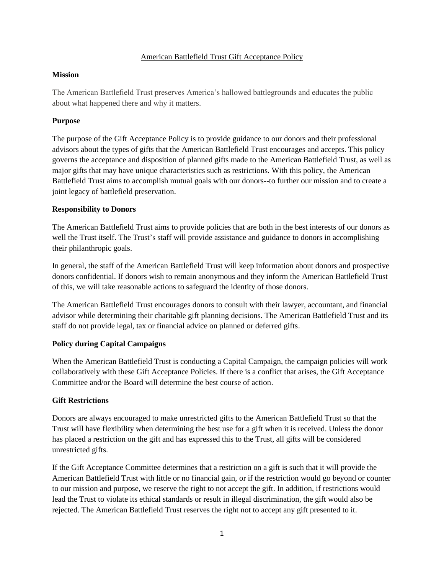## American Battlefield Trust Gift Acceptance Policy

#### **Mission**

The American Battlefield Trust preserves America's hallowed battlegrounds and educates the public about what happened there and why it matters.

## **Purpose**

The purpose of the Gift Acceptance Policy is to provide guidance to our donors and their professional advisors about the types of gifts that the American Battlefield Trust encourages and accepts. This policy governs the acceptance and disposition of planned gifts made to the American Battlefield Trust, as well as major gifts that may have unique characteristics such as restrictions. With this policy, the American Battlefield Trust aims to accomplish mutual goals with our donors--to further our mission and to create a joint legacy of battlefield preservation.

## **Responsibility to Donors**

The American Battlefield Trust aims to provide policies that are both in the best interests of our donors as well the Trust itself. The Trust's staff will provide assistance and guidance to donors in accomplishing their philanthropic goals.

In general, the staff of the American Battlefield Trust will keep information about donors and prospective donors confidential. If donors wish to remain anonymous and they inform the American Battlefield Trust of this, we will take reasonable actions to safeguard the identity of those donors.

The American Battlefield Trust encourages donors to consult with their lawyer, accountant, and financial advisor while determining their charitable gift planning decisions. The American Battlefield Trust and its staff do not provide legal, tax or financial advice on planned or deferred gifts.

## **Policy during Capital Campaigns**

When the American Battlefield Trust is conducting a Capital Campaign, the campaign policies will work collaboratively with these Gift Acceptance Policies. If there is a conflict that arises, the Gift Acceptance Committee and/or the Board will determine the best course of action.

## **Gift Restrictions**

Donors are always encouraged to make unrestricted gifts to the American Battlefield Trust so that the Trust will have flexibility when determining the best use for a gift when it is received. Unless the donor has placed a restriction on the gift and has expressed this to the Trust, all gifts will be considered unrestricted gifts.

If the Gift Acceptance Committee determines that a restriction on a gift is such that it will provide the American Battlefield Trust with little or no financial gain, or if the restriction would go beyond or counter to our mission and purpose, we reserve the right to not accept the gift. In addition, if restrictions would lead the Trust to violate its ethical standards or result in illegal discrimination, the gift would also be rejected. The American Battlefield Trust reserves the right not to accept any gift presented to it.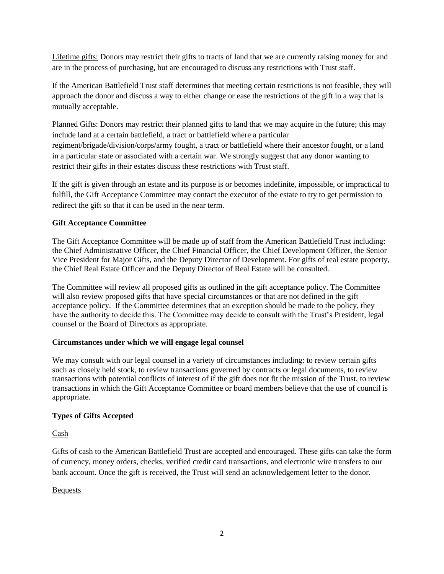Lifetime gifts: Donors may restrict their gifts to tracts of land that we are currently raising money for and are in the process of purchasing, but are encouraged to discuss any restrictions with Trust staff.

If the American Battlefield Trust staff determines that meeting certain restrictions is not feasible, they will approach the donor and discuss a way to either change or ease the restrictions of the gift in a way that is mutually acceptable.

Planned Gifts: Donors may restrict their planned gifts to land that we may acquire in the future; this may include land at a certain battlefield, a tract or battlefield where a particular regiment/brigade/division/corps/army fought, a tract or battlefield where their ancestor fought, or a land in a particular state or associated with a certain war. We strongly suggest that any donor wanting to restrict their gifts in their estates discuss these restrictions with Trust staff.

If the gift is given through an estate and its purpose is or becomes indefinite, impossible, or impractical to fulfill, the Gift Acceptance Committee may contact the executor of the estate to try to get permission to redirect the gift so that it can be used in the near term.

# **Gift Acceptance Committee**

The Gift Acceptance Committee will be made up of staff from the American Battlefield Trust including: the Chief Administrative Officer, the Chief Financial Officer, the Chief Development Officer, the Senior Vice President for Major Gifts, and the Deputy Director of Development. For gifts of real estate property, the Chief Real Estate Officer and the Deputy Director of Real Estate will be consulted.

The Committee will review all proposed gifts as outlined in the gift acceptance policy. The Committee will also review proposed gifts that have special circumstances or that are not defined in the gift acceptance policy. If the Committee determines that an exception should be made to the policy, they have the authority to decide this. The Committee may decide to consult with the Trust's President, legal counsel or the Board of Directors as appropriate.

## **Circumstances under which we will engage legal counsel**

We may consult with our legal counsel in a variety of circumstances including: to review certain gifts such as closely held stock, to review transactions governed by contracts or legal documents, to review transactions with potential conflicts of interest of if the gift does not fit the mission of the Trust, to review transactions in which the Gift Acceptance Committee or board members believe that the use of council is appropriate.

# **Types of Gifts Accepted**

## Cash

Gifts of cash to the American Battlefield Trust are accepted and encouraged. These gifts can take the form of currency, money orders, checks, verified credit card transactions, and electronic wire transfers to our bank account. Once the gift is received, the Trust will send an acknowledgement letter to the donor.

## Bequests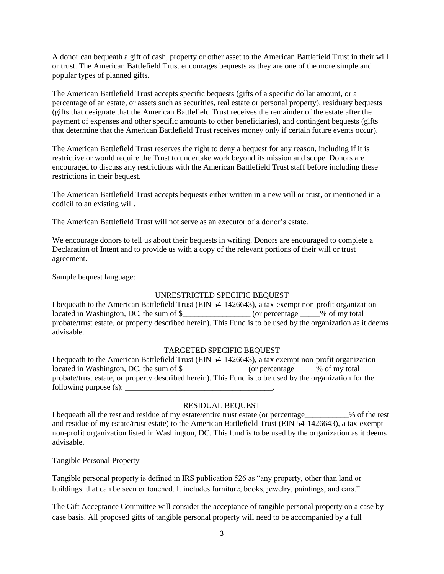A donor can bequeath a gift of cash, property or other asset to the American Battlefield Trust in their will or trust. The American Battlefield Trust encourages bequests as they are one of the more simple and popular types of planned gifts.

The American Battlefield Trust accepts specific bequests (gifts of a specific dollar amount, or a percentage of an estate, or assets such as securities, real estate or personal property), residuary bequests (gifts that designate that the American Battlefield Trust receives the remainder of the estate after the payment of expenses and other specific amounts to other beneficiaries), and contingent bequests (gifts that determine that the American Battlefield Trust receives money only if certain future events occur).

The American Battlefield Trust reserves the right to deny a bequest for any reason, including if it is restrictive or would require the Trust to undertake work beyond its mission and scope. Donors are encouraged to discuss any restrictions with the American Battlefield Trust staff before including these restrictions in their bequest.

The American Battlefield Trust accepts bequests either written in a new will or trust, or mentioned in a codicil to an existing will.

The American Battlefield Trust will not serve as an executor of a donor's estate.

We encourage donors to tell us about their bequests in writing. Donors are encouraged to complete a Declaration of Intent and to provide us with a copy of the relevant portions of their will or trust agreement.

Sample bequest language:

## UNRESTRICTED SPECIFIC BEQUEST

I bequeath to the American Battlefield Trust (EIN 54-1426643), a tax-exempt non-profit organization located in Washington, DC, the sum of \$\_\_\_\_\_\_\_\_\_\_\_\_\_\_\_\_\_\_\_\_\_ (or percentage \_\_\_\_\_% of my total probate/trust estate, or property described herein). This Fund is to be used by the organization as it deems advisable.

## TARGETED SPECIFIC BEQUEST

I bequeath to the American Battlefield Trust (EIN 54-1426643), a tax exempt non-profit organization located in Washington, DC, the sum of \$\_\_\_\_\_\_\_\_\_\_\_\_\_\_\_\_\_ (or percentage \_\_\_\_\_% of my total probate/trust estate, or property described herein). This Fund is to be used by the organization for the following purpose  $(s)$ :

## RESIDUAL BEQUEST

I bequeath all the rest and residue of my estate/entire trust estate (or percentage\_\_\_\_\_\_\_\_\_\_\_% of the rest and residue of my estate/trust estate) to the American Battlefield Trust (EIN 54-1426643), a tax-exempt non-profit organization listed in Washington, DC. This fund is to be used by the organization as it deems advisable.

## Tangible Personal Property

Tangible personal property is defined in IRS publication 526 as "any property, other than land or buildings, that can be seen or touched. It includes furniture, books, jewelry, paintings, and cars."

The Gift Acceptance Committee will consider the acceptance of tangible personal property on a case by case basis. All proposed gifts of tangible personal property will need to be accompanied by a full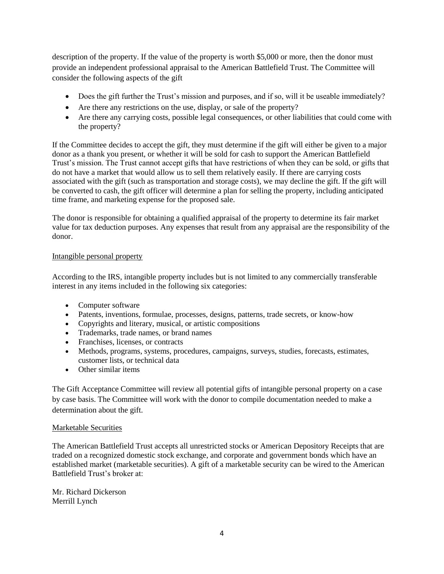description of the property. If the value of the property is worth \$5,000 or more, then the donor must provide an independent professional appraisal to the American Battlefield Trust. The Committee will consider the following aspects of the gift

- Does the gift further the Trust's mission and purposes, and if so, will it be useable immediately?
- Are there any restrictions on the use, display, or sale of the property?
- Are there any carrying costs, possible legal consequences, or other liabilities that could come with the property?

If the Committee decides to accept the gift, they must determine if the gift will either be given to a major donor as a thank you present, or whether it will be sold for cash to support the American Battlefield Trust's mission. The Trust cannot accept gifts that have restrictions of when they can be sold, or gifts that do not have a market that would allow us to sell them relatively easily. If there are carrying costs associated with the gift (such as transportation and storage costs), we may decline the gift. If the gift will be converted to cash, the gift officer will determine a plan for selling the property, including anticipated time frame, and marketing expense for the proposed sale.

The donor is responsible for obtaining a qualified appraisal of the property to determine its fair market value for tax deduction purposes. Any expenses that result from any appraisal are the responsibility of the donor.

# Intangible personal property

According to the IRS, intangible property includes but is not limited to any commercially transferable interest in any items included in the following six categories:

- Computer software
- Patents, inventions, formulae, processes, designs, patterns, trade secrets, or know-how
- Copyrights and literary, musical, or artistic compositions
- Trademarks, trade names, or brand names
- Franchises, licenses, or contracts
- Methods, programs, systems, procedures, campaigns, surveys, studies, forecasts, estimates, customer lists, or technical data
- Other similar items

The Gift Acceptance Committee will review all potential gifts of intangible personal property on a case by case basis. The Committee will work with the donor to compile documentation needed to make a determination about the gift.

## Marketable Securities

The American Battlefield Trust accepts all unrestricted stocks or American Depository Receipts that are traded on a recognized domestic stock exchange, and corporate and government bonds which have an established market (marketable securities). A gift of a marketable security can be wired to the American Battlefield Trust's broker at:

Mr. Richard Dickerson Merrill Lynch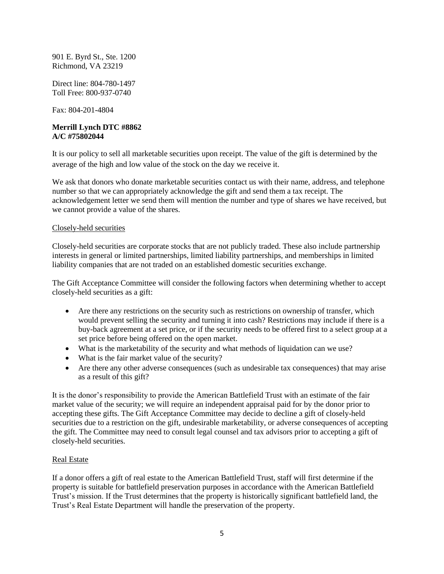901 E. Byrd St., Ste. 1200 Richmond, VA 23219

Direct line: 804-780-1497 Toll Free: 800-937-0740

Fax: 804-201-4804

## **Merrill Lynch DTC #8862 A/C #75802044**

It is our policy to sell all marketable securities upon receipt. The value of the gift is determined by the average of the high and low value of the stock on the day we receive it.

We ask that donors who donate marketable securities contact us with their name, address, and telephone number so that we can appropriately acknowledge the gift and send them a tax receipt. The acknowledgement letter we send them will mention the number and type of shares we have received, but we cannot provide a value of the shares.

## Closely-held securities

Closely-held securities are corporate stocks that are not publicly traded. These also include partnership interests in general or limited partnerships, limited liability partnerships, and memberships in limited liability companies that are not traded on an established domestic securities exchange.

The Gift Acceptance Committee will consider the following factors when determining whether to accept closely-held securities as a gift:

- Are there any restrictions on the security such as restrictions on ownership of transfer, which would prevent selling the security and turning it into cash? Restrictions may include if there is a buy-back agreement at a set price, or if the security needs to be offered first to a select group at a set price before being offered on the open market.
- What is the marketability of the security and what methods of liquidation can we use?
- What is the fair market value of the security?
- Are there any other adverse consequences (such as undesirable tax consequences) that may arise as a result of this gift?

It is the donor's responsibility to provide the American Battlefield Trust with an estimate of the fair market value of the security; we will require an independent appraisal paid for by the donor prior to accepting these gifts. The Gift Acceptance Committee may decide to decline a gift of closely-held securities due to a restriction on the gift, undesirable marketability, or adverse consequences of accepting the gift. The Committee may need to consult legal counsel and tax advisors prior to accepting a gift of closely-held securities.

## Real Estate

If a donor offers a gift of real estate to the American Battlefield Trust, staff will first determine if the property is suitable for battlefield preservation purposes in accordance with the American Battlefield Trust's mission. If the Trust determines that the property is historically significant battlefield land, the Trust's Real Estate Department will handle the preservation of the property.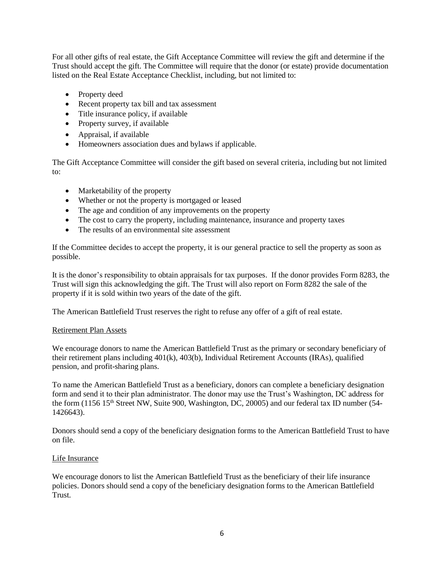For all other gifts of real estate, the Gift Acceptance Committee will review the gift and determine if the Trust should accept the gift. The Committee will require that the donor (or estate) provide documentation listed on the Real Estate Acceptance Checklist, including, but not limited to:

- Property deed
- Recent property tax bill and tax assessment
- Title insurance policy, if available
- Property survey, if available
- Appraisal, if available
- Homeowners association dues and bylaws if applicable.

The Gift Acceptance Committee will consider the gift based on several criteria, including but not limited to:

- Marketability of the property
- Whether or not the property is mortgaged or leased
- The age and condition of any improvements on the property
- The cost to carry the property, including maintenance, insurance and property taxes
- The results of an environmental site assessment

If the Committee decides to accept the property, it is our general practice to sell the property as soon as possible.

It is the donor's responsibility to obtain appraisals for tax purposes. If the donor provides Form 8283, the Trust will sign this acknowledging the gift. The Trust will also report on Form 8282 the sale of the property if it is sold within two years of the date of the gift.

The American Battlefield Trust reserves the right to refuse any offer of a gift of real estate.

#### Retirement Plan Assets

We encourage donors to name the American Battlefield Trust as the primary or secondary beneficiary of their retirement plans including 401(k), 403(b), Individual Retirement Accounts (IRAs), qualified pension, and profit-sharing plans.

To name the American Battlefield Trust as a beneficiary, donors can complete a beneficiary designation form and send it to their plan administrator. The donor may use the Trust's Washington, DC address for the form (1156 15<sup>th</sup> Street NW, Suite 900, Washington, DC, 20005) and our federal tax ID number (54-1426643).

Donors should send a copy of the beneficiary designation forms to the American Battlefield Trust to have on file.

#### Life Insurance

We encourage donors to list the American Battlefield Trust as the beneficiary of their life insurance policies. Donors should send a copy of the beneficiary designation forms to the American Battlefield Trust.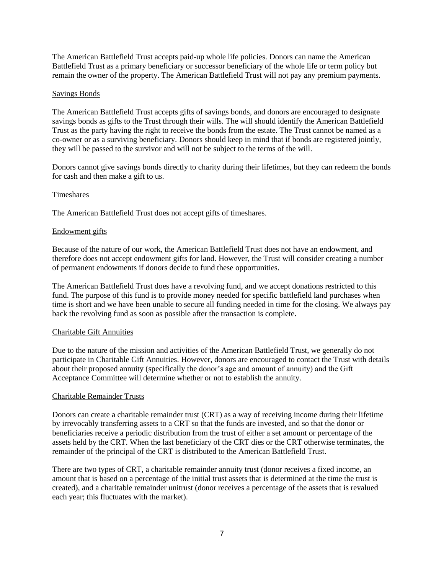The American Battlefield Trust accepts paid-up whole life policies. Donors can name the American Battlefield Trust as a primary beneficiary or successor beneficiary of the whole life or term policy but remain the owner of the property. The American Battlefield Trust will not pay any premium payments.

#### Savings Bonds

The American Battlefield Trust accepts gifts of savings bonds, and donors are encouraged to designate savings bonds as gifts to the Trust through their wills. The will should identify the American Battlefield Trust as the party having the right to receive the bonds from the estate. The Trust cannot be named as a co-owner or as a surviving beneficiary. Donors should keep in mind that if bonds are registered jointly, they will be passed to the survivor and will not be subject to the terms of the will.

Donors cannot give savings bonds directly to charity during their lifetimes, but they can redeem the bonds for cash and then make a gift to us.

#### Timeshares

The American Battlefield Trust does not accept gifts of timeshares.

#### Endowment gifts

Because of the nature of our work, the American Battlefield Trust does not have an endowment, and therefore does not accept endowment gifts for land. However, the Trust will consider creating a number of permanent endowments if donors decide to fund these opportunities.

The American Battlefield Trust does have a revolving fund, and we accept donations restricted to this fund. The purpose of this fund is to provide money needed for specific battlefield land purchases when time is short and we have been unable to secure all funding needed in time for the closing. We always pay back the revolving fund as soon as possible after the transaction is complete.

#### Charitable Gift Annuities

Due to the nature of the mission and activities of the American Battlefield Trust, we generally do not participate in Charitable Gift Annuities. However, donors are encouraged to contact the Trust with details about their proposed annuity (specifically the donor's age and amount of annuity) and the Gift Acceptance Committee will determine whether or not to establish the annuity.

#### Charitable Remainder Trusts

Donors can create a charitable remainder trust (CRT) as a way of receiving income during their lifetime by irrevocably transferring assets to a CRT so that the funds are invested, and so that the donor or beneficiaries receive a periodic distribution from the trust of either a set amount or percentage of the assets held by the CRT. When the last beneficiary of the CRT dies or the CRT otherwise terminates, the remainder of the principal of the CRT is distributed to the American Battlefield Trust.

There are two types of CRT, a charitable remainder annuity trust (donor receives a fixed income, an amount that is based on a percentage of the initial trust assets that is determined at the time the trust is created), and a charitable remainder unitrust (donor receives a percentage of the assets that is revalued each year; this fluctuates with the market).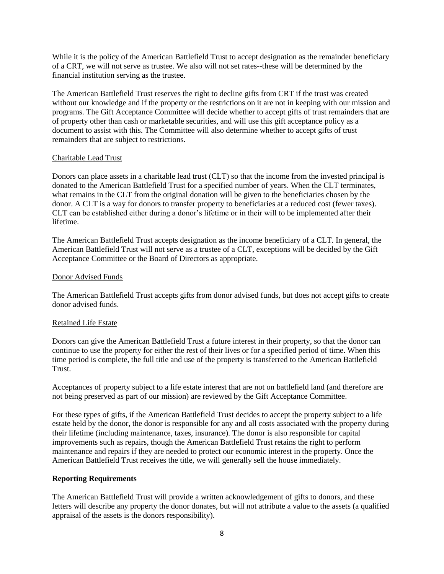While it is the policy of the American Battlefield Trust to accept designation as the remainder beneficiary of a CRT, we will not serve as trustee. We also will not set rates--these will be determined by the financial institution serving as the trustee.

The American Battlefield Trust reserves the right to decline gifts from CRT if the trust was created without our knowledge and if the property or the restrictions on it are not in keeping with our mission and programs. The Gift Acceptance Committee will decide whether to accept gifts of trust remainders that are of property other than cash or marketable securities, and will use this gift acceptance policy as a document to assist with this. The Committee will also determine whether to accept gifts of trust remainders that are subject to restrictions.

#### Charitable Lead Trust

Donors can place assets in a charitable lead trust (CLT) so that the income from the invested principal is donated to the American Battlefield Trust for a specified number of years. When the CLT terminates, what remains in the CLT from the original donation will be given to the beneficiaries chosen by the donor. A CLT is a way for donors to transfer property to beneficiaries at a reduced cost (fewer taxes). CLT can be established either during a donor's lifetime or in their will to be implemented after their lifetime.

The American Battlefield Trust accepts designation as the income beneficiary of a CLT. In general, the American Battlefield Trust will not serve as a trustee of a CLT, exceptions will be decided by the Gift Acceptance Committee or the Board of Directors as appropriate.

#### Donor Advised Funds

The American Battlefield Trust accepts gifts from donor advised funds, but does not accept gifts to create donor advised funds.

## Retained Life Estate

Donors can give the American Battlefield Trust a future interest in their property, so that the donor can continue to use the property for either the rest of their lives or for a specified period of time. When this time period is complete, the full title and use of the property is transferred to the American Battlefield Trust.

Acceptances of property subject to a life estate interest that are not on battlefield land (and therefore are not being preserved as part of our mission) are reviewed by the Gift Acceptance Committee.

For these types of gifts, if the American Battlefield Trust decides to accept the property subject to a life estate held by the donor, the donor is responsible for any and all costs associated with the property during their lifetime (including maintenance, taxes, insurance). The donor is also responsible for capital improvements such as repairs, though the American Battlefield Trust retains the right to perform maintenance and repairs if they are needed to protect our economic interest in the property. Once the American Battlefield Trust receives the title, we will generally sell the house immediately.

#### **Reporting Requirements**

The American Battlefield Trust will provide a written acknowledgement of gifts to donors, and these letters will describe any property the donor donates, but will not attribute a value to the assets (a qualified appraisal of the assets is the donors responsibility).